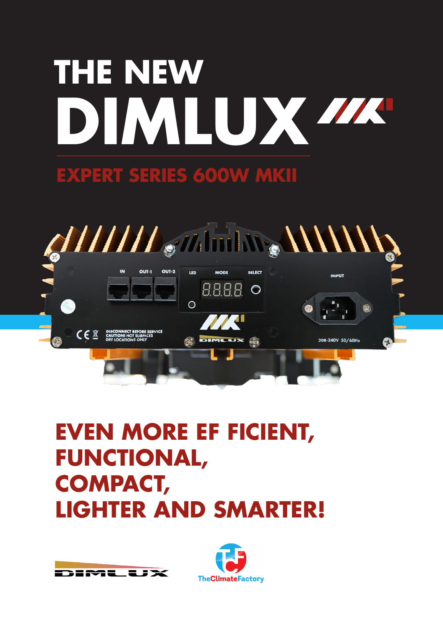# **DIMLUX THE NEW**

### **EXPERT SERIES 600W MKII**



## **EVEN MORE EF FICIENT, FUNCTIONAL, COMPACT, LIGHTER AND SMARTER!**



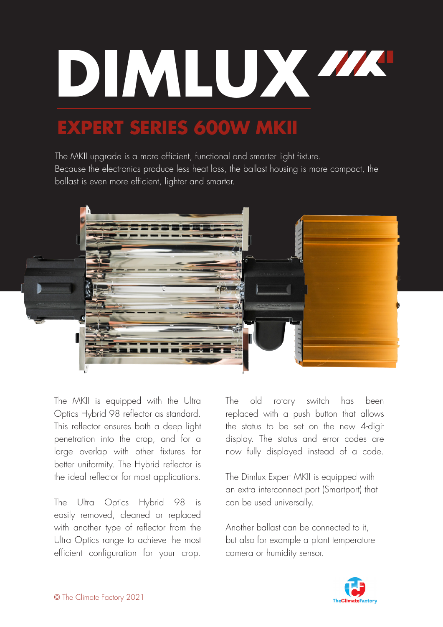

## **EXPERT SERIES 600W MKII**

The MKII upgrade is a more efficient, functional and smarter light fixture. Because the electronics produce less heat loss, the ballast housing is more compact, the ballast is even more efficient, lighter and smarter.



The MKII is equipped with the Ultra Optics Hybrid 98 reflector as standard. This reflector ensures both a deep light penetration into the crop, and for a large overlap with other fixtures for better uniformity. The Hybrid reflector is the ideal reflector for most applications.

The Ultra Optics Hybrid 98 is easily removed, cleaned or replaced with another type of reflector from the Ultra Optics range to achieve the most efficient configuration for your crop.

The old rotary switch has been replaced with a push button that allows the status to be set on the new 4-digit display. The status and error codes are now fully displayed instead of a code.

The Dimlux Expert MKII is equipped with an extra interconnect port (Smartport) that can be used universally.

Another ballast can be connected to it, but also for example a plant temperature camera or humidity sensor.

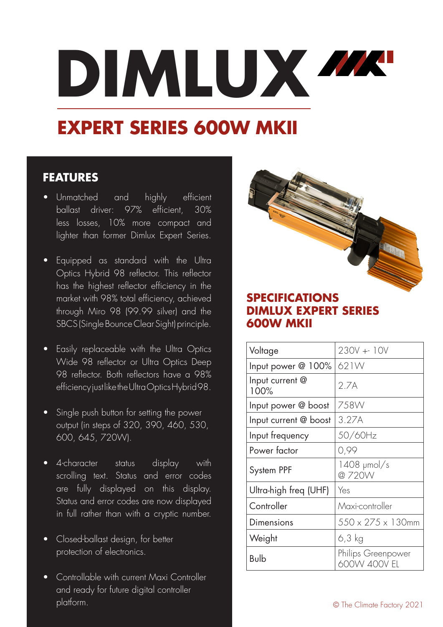# **DIMLUX**

## **EXPERT SERIES 600W MKII**

#### **FEATURES**

- Unmatched and highly efficient ballast driver: 97% efficient, 30% less losses, 10% more compact and lighter than former Dimlux Expert Series.
- Equipped as standard with the Ultra Optics Hybrid 98 reflector. This reflector has the highest reflector efficiency in the market with 98% total efficiency, achieved through Miro 98 (99.99 silver) and the SBCS (Single Bounce Clear Sight) principle.
- Easily replaceable with the Ultra Optics Wide 98 reflector or Ultra Optics Deep 98 reflector. Both reflectors have a 98% efficiency just like the Ultra Optics Hybrid 98.
- Single push button for setting the power output (in steps of 320, 390, 460, 530, 600, 645, 720W).
- 4-character status display with scrolling text. Status and error codes are fully displayed on this display. Status and error codes are now displayed in full rather than with a cryptic number.
- Closed-ballast design, for better protection of electronics.
- Controllable with current Maxi Controller and ready for future digital controller platform.



#### **SPECIFICATIONS DIMLUX EXPERT SERIES 600W MKII**

| Voltage                 | 230V +- 10V                        |
|-------------------------|------------------------------------|
| Input power @ 100%      | 621W                               |
| Input current @<br>100% | 2.7A                               |
| Input power @ boost     | 758W                               |
| Input current @ boost   | 3.27A                              |
| Input frequency         | 50/60Hz                            |
| Power factor            | 0,99                               |
| System PPF              | 1408 µmol/s<br>@720W               |
| Ultra-high freq (UHF)   | Yes                                |
| Controller              | Maxi-controller                    |
| Dimensions              | $550 \times 275 \times 130$ mm     |
| Weight                  | 6,3 kg                             |
| Bulb                    | Philips Greenpower<br>600W 400V EL |